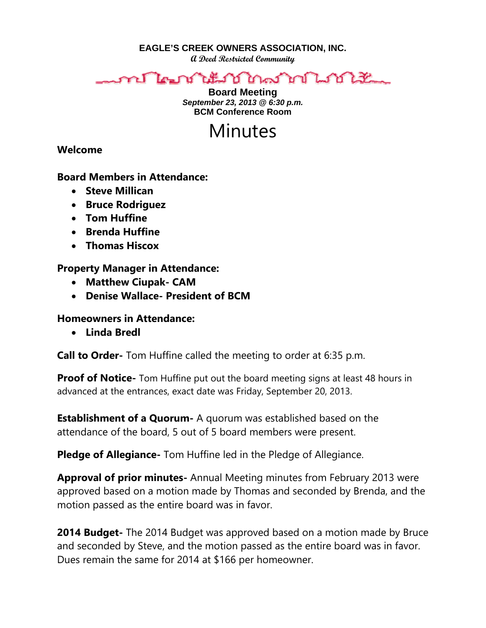**EAGLE'S CREEK OWNERS ASSOCIATION, INC.** 

**A Deed Restricted Community** 

### ี ไคมาข้านรัมวิโภคมากาโ Lorenza

**Board Meeting**  *September 23, 2013 @ 6:30 p.m.*  **BCM Conference Room** 

# Minutes

**Welcome** 

## **Board Members in Attendance:**

- **Steve Millican**
- **Bruce Rodriguez**
- **Tom Huffine**
- **Brenda Huffine**
- **Thomas Hiscox**

## **Property Manager in Attendance:**

- **Matthew Ciupak- CAM**
- **Denise Wallace- President of BCM**

## **Homeowners in Attendance:**

**Linda Bredl** 

**Call to Order-** Tom Huffine called the meeting to order at 6:35 p.m.

**Proof of Notice-** Tom Huffine put out the board meeting signs at least 48 hours in advanced at the entrances, exact date was Friday, September 20, 2013.

**Establishment of a Quorum-** A quorum was established based on the attendance of the board, 5 out of 5 board members were present.

**Pledge of Allegiance-** Tom Huffine led in the Pledge of Allegiance.

**Approval of prior minutes-** Annual Meeting minutes from February 2013 were approved based on a motion made by Thomas and seconded by Brenda, and the motion passed as the entire board was in favor.

**2014 Budget-** The 2014 Budget was approved based on a motion made by Bruce and seconded by Steve, and the motion passed as the entire board was in favor. Dues remain the same for 2014 at \$166 per homeowner.